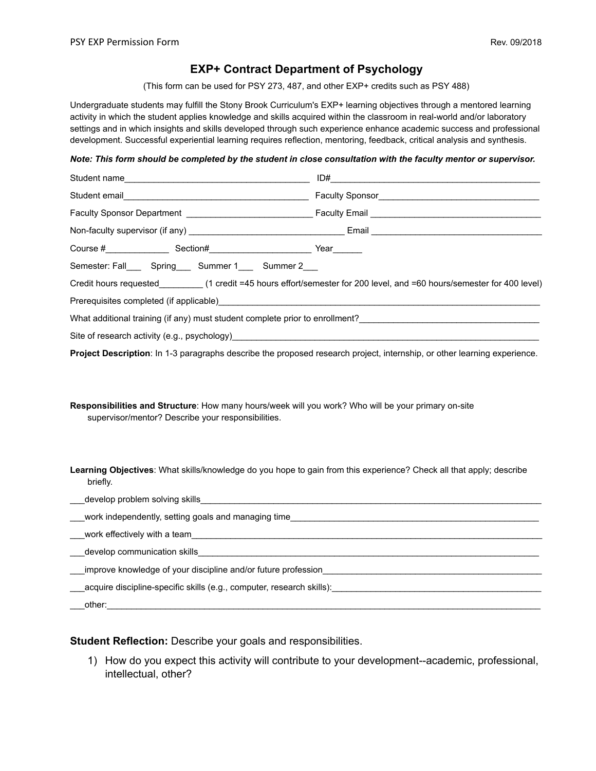# **EXP+ Contract Department of Psychology**

(This form can be used for PSY 273, 487, and other EXP+ credits such as PSY 488)

Undergraduate students may fulfill the Stony Brook Curriculum's EXP+ learning objectives through a mentored learning activity in which the student applies knowledge and skills acquired within the classroom in real-world and/or laboratory settings and in which insights and skills developed through such experience enhance academic success and professional development. Successful experiential learning requires reflection, mentoring, feedback, critical analysis and synthesis.

#### *Note: This form should be completed by the student in close consultation with the faculty mentor or supervisor.*

| Student email <b>student</b> email Student email Student email Student email Student email Student email Student email Student email Student email Student email Student email Student email Student email Student email Student em |  |
|-------------------------------------------------------------------------------------------------------------------------------------------------------------------------------------------------------------------------------------|--|
|                                                                                                                                                                                                                                     |  |
|                                                                                                                                                                                                                                     |  |
|                                                                                                                                                                                                                                     |  |
| Semester: Fall______ Spring______ Summer 1______ Summer 2____                                                                                                                                                                       |  |
| Credit hours requested __________(1 credit =45 hours effort/semester for 200 level, and =60 hours/semester for 400 level)                                                                                                           |  |
|                                                                                                                                                                                                                                     |  |
| What additional training (if any) must student complete prior to enrollment?                                                                                                                                                        |  |
| Site of research activity (e.g., psychology) entitled to the search activity (e.g., psychology)                                                                                                                                     |  |

**Project Description**: In 1-3 paragraphs describe the proposed research project, internship, or other learning experience.

**Responsibilities and Structure**: How many hours/week will you work? Who will be your primary on-site supervisor/mentor? Describe your responsibilities.

**Learning Objectives**: What skills/knowledge do you hope to gain from this experience? Check all that apply; describe briefly.

| develop problem solving skills                                        |  |
|-----------------------------------------------------------------------|--|
| work independently, setting goals and managing time                   |  |
| work effectively with a team                                          |  |
| develop communication skills                                          |  |
| improve knowledge of your discipline and/or future profession         |  |
| acquire discipline-specific skills (e.g., computer, research skills): |  |
| other:                                                                |  |

## **Student Reflection:** Describe your goals and responsibilities.

1) How do you expect this activity will contribute to your development--academic, professional, intellectual, other?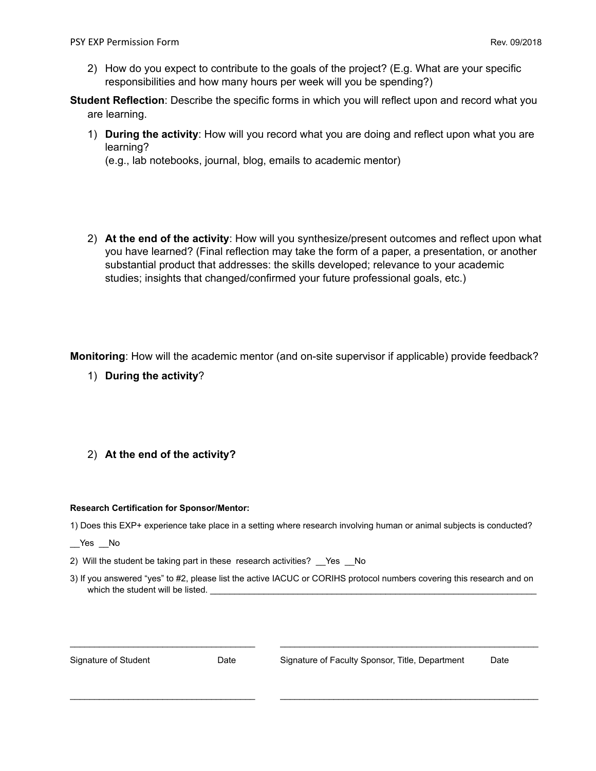- 2) How do you expect to contribute to the goals of the project? (E.g. What are your specific responsibilities and how many hours per week will you be spending?)
- **Student Reflection**: Describe the specific forms in which you will reflect upon and record what you are learning.
	- 1) **During the activity**: How will you record what you are doing and reflect upon what you are learning?

(e.g., lab notebooks, journal, blog, emails to academic mentor)

2) **At the end of the activity**: How will you synthesize/present outcomes and reflect upon what you have learned? (Final reflection may take the form of a paper, a presentation, or another substantial product that addresses: the skills developed; relevance to your academic studies; insights that changed/confirmed your future professional goals, etc.)

**Monitoring**: How will the academic mentor (and on-site supervisor if applicable) provide feedback?

1) **During the activity**?

## 2) **At the end of the activity?**

### **Research Certification for Sponsor/Mentor:**

- 1) Does this EXP+ experience take place in a setting where research involving human or animal subjects is conducted?
- Yes No
- 2) Will the student be taking part in these research activities? Yes No
- 3) If you answered "yes" to #2, please list the active IACUC or CORIHS protocol numbers covering this research and on which the student will be listed.

\_\_\_\_\_\_\_\_\_\_\_\_\_\_\_\_\_\_\_\_\_\_\_\_\_\_\_\_\_\_\_\_\_\_\_\_\_\_ \_\_\_\_\_\_\_\_\_\_\_\_\_\_\_\_\_\_\_\_\_\_\_\_\_\_\_\_\_\_\_\_\_\_\_\_\_\_\_\_\_\_\_\_\_\_\_\_\_\_\_\_\_

\_\_\_\_\_\_\_\_\_\_\_\_\_\_\_\_\_\_\_\_\_\_\_\_\_\_\_\_\_\_\_\_\_\_\_\_\_\_ \_\_\_\_\_\_\_\_\_\_\_\_\_\_\_\_\_\_\_\_\_\_\_\_\_\_\_\_\_\_\_\_\_\_\_\_\_\_\_\_\_\_\_\_\_\_\_\_\_\_\_\_\_

| Signature of Student |  |
|----------------------|--|
|----------------------|--|

Date Signature of Faculty Sponsor, Title, Department Date